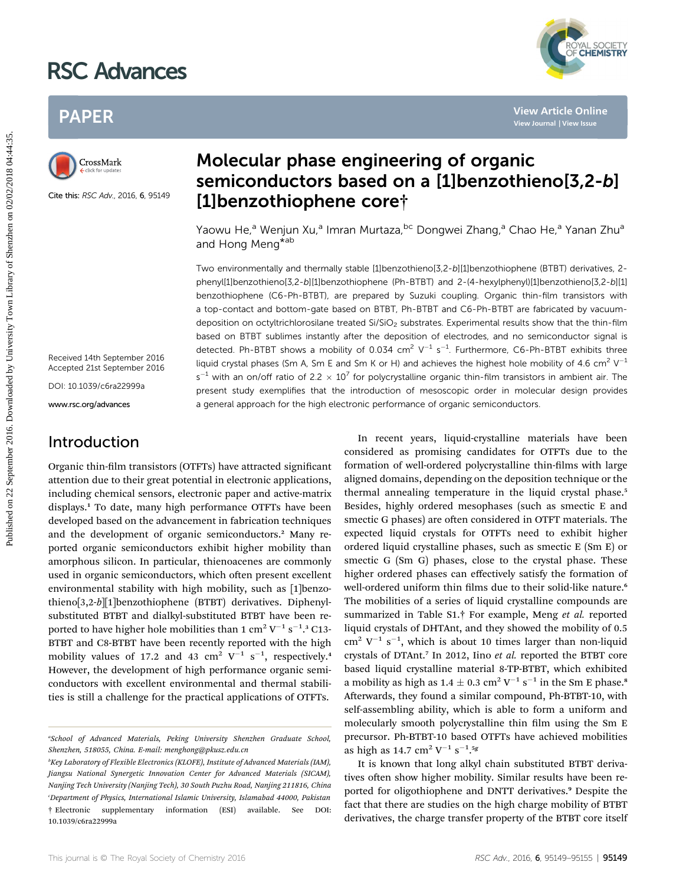# RSC Advances

# PAPER



Cite this: RSC Adv., 2016, 6, 95149

# Molecular phase engineering of organic semiconductors based on a [1]benzothieno[3,2-b] [1]benzothiophene core†

Yaowu He,<sup>a</sup> Wenjun Xu,<sup>a</sup> Imran Murtaza, <sup>bc</sup> Dongwei Zhang,<sup>a</sup> Chao He,<sup>a</sup> Yanan Zhu<sup>a</sup> and Hong Meng<sup>\*ab</sup>

Two environmentally and thermally stable [1]benzothieno[3,2-b][1]benzothiophene (BTBT) derivatives, 2 phenyl[1]benzothieno[3,2-b][1]benzothiophene (Ph-BTBT) and 2-(4-hexylphenyl)[1]benzothieno[3,2-b][1] benzothiophene (C6-Ph-BTBT), are prepared by Suzuki coupling. Organic thin-film transistors with a top-contact and bottom-gate based on BTBT, Ph-BTBT and C6-Ph-BTBT are fabricated by vacuumdeposition on octyltrichlorosilane treated  $Si/SiO<sub>2</sub>$  substrates. Experimental results show that the thin-film based on BTBT sublimes instantly after the deposition of electrodes, and no semiconductor signal is detected. Ph-BTBT shows a mobility of 0.034 cm<sup>2</sup>  $V^{-1}$  s<sup>-1</sup>. Furthermore, C6-Ph-BTBT exhibits three liquid crystal phases (Sm A, Sm E and Sm K or H) and achieves the highest hole mobility of 4.6 cm<sup>2</sup> V<sup>-1</sup> s<sup>-1</sup> with an on/off ratio of 2.2  $\times$  10<sup>7</sup> for polycrystalline organic thin-film transistors in ambient air. The present study exemplifies that the introduction of mesoscopic order in molecular design provides a general approach for the high electronic performance of organic semiconductors. PAPER<br>
Published on **2**<br>
September 2016. **Constrained by Constrained By Article On 22**<br>
September 2016. The properties of the state of the state of the state of the state of the state of the state of the state of the state

Received 14th September 2016 Accepted 21st September 2016

DOI: 10.1039/c6ra22999a

www.rsc.org/advances

# Introduction

Organic thin-film transistors (OTFTs) have attracted significant attention due to their great potential in electronic applications, including chemical sensors, electronic paper and active-matrix displays.<sup>1</sup> To date, many high performance OTFTs have been developed based on the advancement in fabrication techniques and the development of organic semiconductors.<sup>2</sup> Many reported organic semiconductors exhibit higher mobility than amorphous silicon. In particular, thienoacenes are commonly used in organic semiconductors, which often present excellent environmental stability with high mobility, such as [1]benzothieno[3,2-b][1]benzothiophene (BTBT) derivatives. Diphenylsubstituted BTBT and dialkyl-substituted BTBT have been reported to have higher hole mobilities than 1  $\rm cm^2\,V^{-1}\,s^{-1}.^3$  C13-BTBT and C8-BTBT have been recently reported with the high mobility values of 17.2 and 43  $\text{cm}^2$  V<sup>-1</sup> s<sup>-1</sup>, respectively.<sup>4</sup> However, the development of high performance organic semiconductors with excellent environmental and thermal stabilities is still a challenge for the practical applications of OTFTs.

In recent years, liquid-crystalline materials have been considered as promising candidates for OTFTs due to the formation of well-ordered polycrystalline thin-films with large aligned domains, depending on the deposition technique or the thermal annealing temperature in the liquid crystal phase.<sup>5</sup> Besides, highly ordered mesophases (such as smectic E and smectic G phases) are often considered in OTFT materials. The expected liquid crystals for OTFTs need to exhibit higher ordered liquid crystalline phases, such as smectic E (Sm E) or smectic G (Sm G) phases, close to the crystal phase. These higher ordered phases can effectively satisfy the formation of well-ordered uniform thin films due to their solid-like nature.<sup>6</sup> The mobilities of a series of liquid crystalline compounds are summarized in Table S1.† For example, Meng et al. reported liquid crystals of DHTAnt, and they showed the mobility of 0.5  $\text{cm}^2$  V<sup>-1</sup> s<sup>-1</sup>, which is about 10 times larger than non-liquid crystals of DTAnt.<sup>7</sup> In 2012, Iino et al. reported the BTBT core based liquid crystalline material 8-TP-BTBT, which exhibited a mobility as high as  $1.4 \pm 0.3$  cm<sup>2</sup> V<sup>-1</sup> s<sup>-1</sup> in the Sm E phase.<sup>8</sup> Afterwards, they found a similar compound, Ph-BTBT-10, with self-assembling ability, which is able to form a uniform and molecularly smooth polycrystalline thin film using the Sm E precursor. Ph-BTBT-10 based OTFTs have achieved mobilities as high as 14.7 cm<sup>2</sup> V<sup>-1</sup> s<sup>-1</sup>.<sup>5g</sup>

It is known that long alkyl chain substituted BTBT derivatives often show higher mobility. Similar results have been reported for oligothiophene and DNTT derivatives.<sup>9</sup> Despite the fact that there are studies on the high charge mobility of BTBT derivatives, the charge transfer property of the BTBT core itself



a School of Advanced Materials, Peking University Shenzhen Graduate School, Shenzhen, 518055, China. E-mail: menghong@pkusz.edu.cn

b Key Laboratory of Flexible Electronics (KLOFE), Institute of Advanced Materials (IAM), Jiangsu National Synergetic Innovation Center for Advanced Materials (SICAM), Nanjing Tech University (Nanjing Tech), 30 South Puzhu Road, Nanjing 211816, China c Department of Physics, International Islamic University, Islamabad 44000, Pakistan † Electronic supplementary information (ESI) available. See DOI: 10.1039/c6ra22999a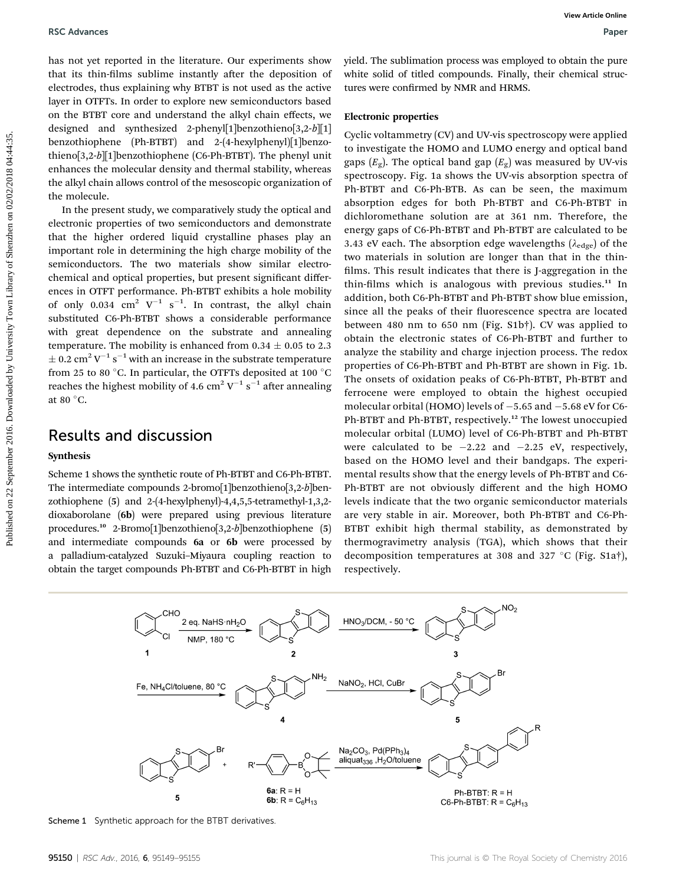has not yet reported in the literature. Our experiments show that its thin-films sublime instantly after the deposition of electrodes, thus explaining why BTBT is not used as the active layer in OTFTs. In order to explore new semiconductors based on the BTBT core and understand the alkyl chain effects, we designed and synthesized 2-phenyl[1]benzothieno[3,2-b][1] benzothiophene (Ph-BTBT) and 2-(4-hexylphenyl)[1]benzothieno[3,2-b][1]benzothiophene (C6-Ph-BTBT). The phenyl unit enhances the molecular density and thermal stability, whereas the alkyl chain allows control of the mesoscopic organization of the molecule.

In the present study, we comparatively study the optical and electronic properties of two semiconductors and demonstrate that the higher ordered liquid crystalline phases play an important role in determining the high charge mobility of the semiconductors. The two materials show similar electrochemical and optical properties, but present significant differences in OTFT performance. Ph-BTBT exhibits a hole mobility of only 0.034  $\text{cm}^2$  V<sup>-1</sup> s<sup>-1</sup>. In contrast, the alkyl chain substituted C6-Ph-BTBT shows a considerable performance with great dependence on the substrate and annealing temperature. The mobility is enhanced from  $0.34 \pm 0.05$  to 2.3  $\pm$  0.2 cm<sup>2</sup> V<sup>-1</sup> s<sup>-1</sup> with an increase in the substrate temperature from 25 to 80 °C. In particular, the OTFTs deposited at 100 °C reaches the highest mobility of 4.6 cm $^2$  V $^{-1}$  s $^{-1}$  after annealing at 80 $\degree$ C.

### Results and discussion

#### Synthesis

Scheme 1 shows the synthetic route of Ph-BTBT and C6-Ph-BTBT. The intermediate compounds 2-bromo[1]benzothieno[3,2-b]benzothiophene (5) and 2-(4-hexylphenyl)-4,4,5,5-tetramethyl-1,3,2 dioxaborolane (6b) were prepared using previous literature procedures.<sup>10</sup> 2-Bromo[1]benzothieno[3,2-b]benzothiophene (5) and intermediate compounds 6a or 6b were processed by a palladium-catalyzed Suzuki–Miyaura coupling reaction to obtain the target compounds Ph-BTBT and C6-Ph-BTBT in high

yield. The sublimation process was employed to obtain the pure white solid of titled compounds. Finally, their chemical structures were confirmed by NMR and HRMS.

#### Electronic properties

Cyclic voltammetry (CV) and UV-vis spectroscopy were applied to investigate the HOMO and LUMO energy and optical band gaps  $(E_{\varphi})$ . The optical band gap  $(E_{\varphi})$  was measured by UV-vis spectroscopy. Fig. 1a shows the UV-vis absorption spectra of Ph-BTBT and C6-Ph-BTB. As can be seen, the maximum absorption edges for both Ph-BTBT and C6-Ph-BTBT in dichloromethane solution are at 361 nm. Therefore, the energy gaps of C6-Ph-BTBT and Ph-BTBT are calculated to be 3.43 eV each. The absorption edge wavelengths ( $\lambda_{\text{edge}}$ ) of the two materials in solution are longer than that in the thin films. This result indicates that there is J-aggregation in the thin-films which is analogous with previous studies.<sup>11</sup> In addition, both C6-Ph-BTBT and Ph-BTBT show blue emission, since all the peaks of their fluorescence spectra are located between 480 nm to 650 nm (Fig. S1b†). CV was applied to obtain the electronic states of C6-Ph-BTBT and further to analyze the stability and charge injection process. The redox properties of C6-Ph-BTBT and Ph-BTBT are shown in Fig. 1b. The onsets of oxidation peaks of C6-Ph-BTBT, Ph-BTBT and ferrocene were employed to obtain the highest occupied molecular orbital (HOMO) levels of  $-5.65$  and  $-5.68$  eV for C6-Ph-BTBT and Ph-BTBT, respectively.<sup>12</sup> The lowest unoccupied molecular orbital (LUMO) level of C6-Ph-BTBT and Ph-BTBT were calculated to be  $-2.22$  and  $-2.25$  eV, respectively, based on the HOMO level and their bandgaps. The experimental results show that the energy levels of Ph-BTBT and C6- Ph-BTBT are not obviously different and the high HOMO levels indicate that the two organic semiconductor materials are very stable in air. Moreover, both Ph-BTBT and C6-Ph-BTBT exhibit high thermal stability, as demonstrated by thermogravimetry analysis (TGA), which shows that their decomposition temperatures at 308 and 327 °C (Fig. S1a†), respectively. **PSC** Advances<br>
learning the interaction of experiments dote, yield The sublimation process as employed to obtain it is pre-<br>
that its yield the interaction of the substitute of the substitute of the substitute of the sub



Scheme 1 Synthetic approach for the BTBT derivatives.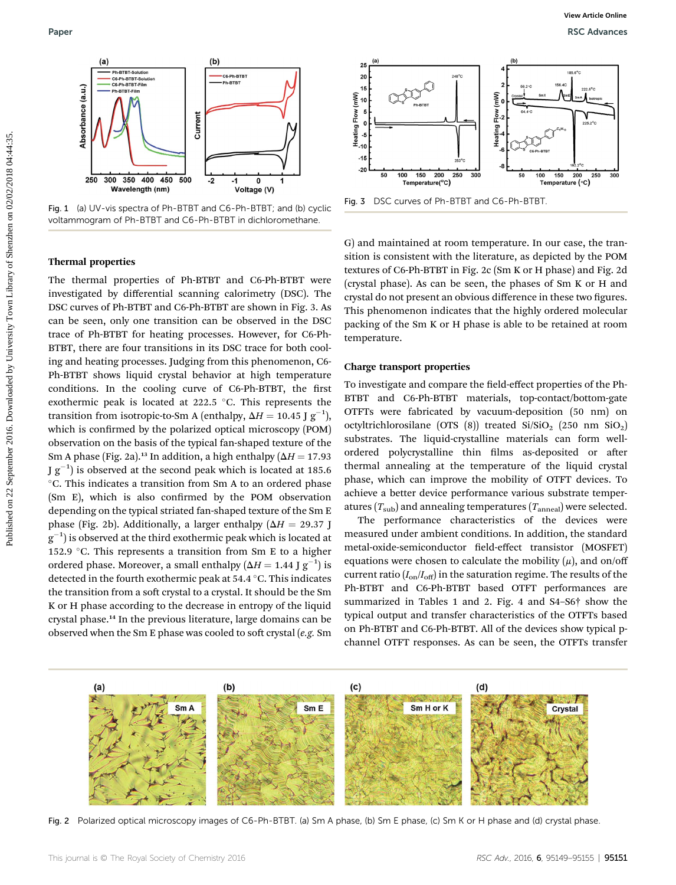

Fig. 1 (a) UV-vis spectra of Ph-BTBT and C6-Ph-BTBT; and (b) cyclic voltammogram of Ph-BTBT and C6-Ph-BTBT in dichloromethane.

# Paper RSC Advances



Fig. 3 DSC curves of Ph-BTBT and C6-Ph-BTBT.

#### Thermal properties

The thermal properties of Ph-BTBT and C6-Ph-BTBT were investigated by differential scanning calorimetry (DSC). The DSC curves of Ph-BTBT and C6-Ph-BTBT are shown in Fig. 3. As can be seen, only one transition can be observed in the DSC trace of Ph-BTBT for heating processes. However, for C6-Ph-BTBT, there are four transitions in its DSC trace for both cooling and heating processes. Judging from this phenomenon, C6- Ph-BTBT shows liquid crystal behavior at high temperature conditions. In the cooling curve of C6-Ph-BTBT, the first exothermic peak is located at  $222.5$  °C. This represents the transition from isotropic-to-Sm A (enthalpy,  $\Delta H = 10.45$  J  $\text{g}^{-1}$ ), which is confirmed by the polarized optical microscopy (POM) observation on the basis of the typical fan-shaped texture of the Sm A phase (Fig. 2a).<sup>13</sup> In addition, a high enthalpy ( $\Delta H = 17.93$ ) J  $g^{-1}$ ) is observed at the second peak which is located at 185.6 C. This indicates a transition from Sm A to an ordered phase (Sm E), which is also confirmed by the POM observation depending on the typical striated fan-shaped texture of the Sm E phase (Fig. 2b). Additionally, a larger enthalpy ( $\Delta H = 29.37$  J  $\rm g^{-1})$  is observed at the third exothermic peak which is located at 152.9 °C. This represents a transition from Sm E to a higher ordered phase. Moreover, a small enthalpy ( $\Delta H = 1.44$  J  $\rm g^{-1})$  is detected in the fourth exothermic peak at 54.4 °C. This indicates the transition from a soft crystal to a crystal. It should be the Sm K or H phase according to the decrease in entropy of the liquid crystal phase.<sup>14</sup> In the previous literature, large domains can be observed when the Sm E phase was cooled to soft crystal (e.g. Sm **Published on 22**<br> **Example on 22** September 2016. Download by University Townload By Townload By Townload By Townload By Townload By Townload By Townload By Townload By Townload By Townload By Townload By Townload By Tow

G) and maintained at room temperature. In our case, the transition is consistent with the literature, as depicted by the POM textures of C6-Ph-BTBT in Fig. 2c (Sm K or H phase) and Fig. 2d (crystal phase). As can be seen, the phases of Sm K or H and crystal do not present an obvious difference in these two figures. This phenomenon indicates that the highly ordered molecular packing of the Sm K or H phase is able to be retained at room temperature.

#### Charge transport properties

To investigate and compare the field-effect properties of the Ph-BTBT and C6-Ph-BTBT materials, top-contact/bottom-gate OTFTs were fabricated by vacuum-deposition (50 nm) on octyltrichlorosilane (OTS  $(8)$ ) treated Si/SiO<sub>2</sub> (250 nm SiO<sub>2</sub>) substrates. The liquid-crystalline materials can form wellordered polycrystalline thin films as-deposited or after thermal annealing at the temperature of the liquid crystal phase, which can improve the mobility of OTFT devices. To achieve a better device performance various substrate temperatures  $(T_{sub})$  and annealing temperatures  $(T_{anneal})$  were selected.

The performance characteristics of the devices were measured under ambient conditions. In addition, the standard metal-oxide-semiconductor field-effect transistor (MOSFET) equations were chosen to calculate the mobility  $(\mu)$ , and on/off current ratio  $(I_{on}/I_{off})$  in the saturation regime. The results of the Ph-BTBT and C6-Ph-BTBT based OTFT performances are summarized in Tables 1 and 2. Fig. 4 and S4–S6† show the typical output and transfer characteristics of the OTFTs based on Ph-BTBT and C6-Ph-BTBT. All of the devices show typical pchannel OTFT responses. As can be seen, the OTFTs transfer



Fig. 2 Polarized optical microscopy images of C6-Ph-BTBT. (a) Sm A phase, (b) Sm E phase, (c) Sm K or H phase and (d) crystal phase.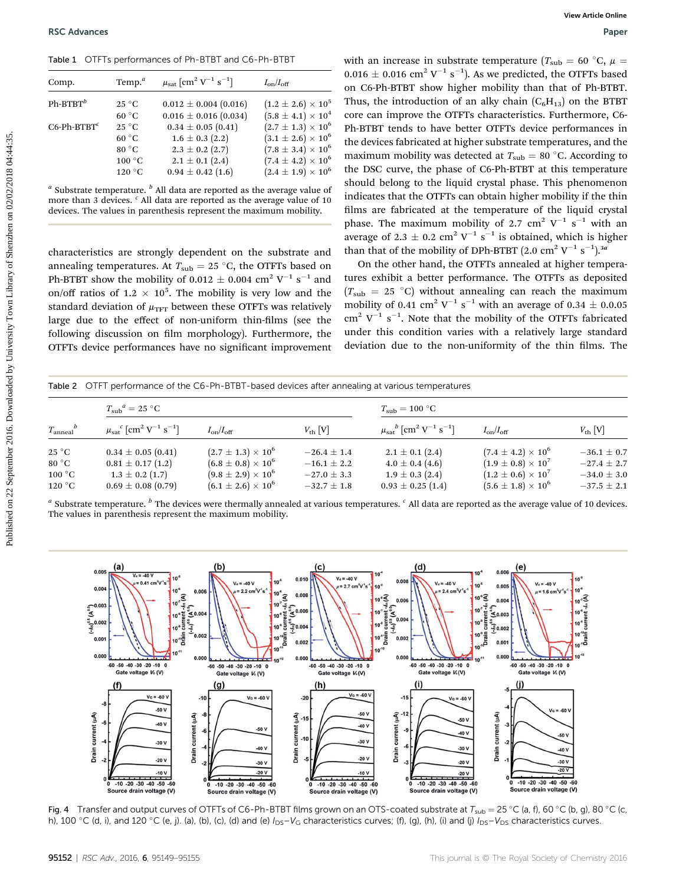Table 1 OTFTs performances of Ph-BTBT and C6-Ph-BTBT

| Comp.              | Temp. $a$       | $\mu_{\rm sat}$ [cm <sup>2</sup> V <sup>-1</sup> s <sup>-1</sup> ] | $I_{\rm on}/I_{\rm off}$    |
|--------------------|-----------------|--------------------------------------------------------------------|-----------------------------|
| $Ph-BTBT^b$        | $25^{\circ}$ C  | $0.012 \pm 0.004$ (0.016)                                          | $(1.2 \pm 2.6) \times 10^5$ |
|                    | $60^{\circ}$ C  | $0.016 \pm 0.016$ (0.034)                                          | $(5.8 \pm 4.1) \times 10^4$ |
| $C6$ -Ph-BTBT $^c$ | $25^{\circ}$ C  | $0.34 \pm 0.05$ (0.41)                                             | $(2.7 \pm 1.3) \times 10^6$ |
|                    | $60^{\circ}$ C  | $1.6 \pm 0.3$ (2.2)                                                | $(3.1 \pm 2.6) \times 10^6$ |
|                    | 80 $^{\circ}$ C | $2.3 \pm 0.2$ (2.7)                                                | $(7.8 \pm 3.4) \times 10^6$ |
|                    | $100^{\circ}$ C | $2.1 \pm 0.1$ (2.4)                                                | $(7.4 \pm 4.2) \times 10^6$ |
|                    | $120^{\circ}$ C | $0.94 \pm 0.42$ (1.6)                                              | $(2.4 \pm 1.9) \times 10^6$ |
|                    |                 |                                                                    |                             |

 $a$  Substrate temperature.  $b$  All data are reported as the average value of more than 3 devices.  $c$  All data are reported as the average value of 10 devices. The values in parenthesis represent the maximum mobility.

|  |  |  | Table 2 OTFT performance of the C6-Ph-BTBT-based devices after annealing at various temperatures |
|--|--|--|--------------------------------------------------------------------------------------------------|
|--|--|--|--------------------------------------------------------------------------------------------------|

| Comp.                                                 | Temp. $a$                                                                                           | $\mu_{\rm sat} \, [\rm cm^2 \ V^{-1} \ s^{-1}]$ |                                                            | $I_{\mathrm{on}}/I_{\mathrm{off}}$                                                                                                                                                                                                                                                                                                                                                                                                                          |                                                                              | $0.016 \pm 0.016$ cm <sup>2</sup> V <sup>-1</sup> s <sup>-1</sup> ). As we predicted, the OTFTs based<br>on C6-Ph-BTBT show higher mobility than that of Ph-BTBT.                                                                                                                                                                                                                                                                                                                                                      |                                                            |                                    |
|-------------------------------------------------------|-----------------------------------------------------------------------------------------------------|-------------------------------------------------|------------------------------------------------------------|-------------------------------------------------------------------------------------------------------------------------------------------------------------------------------------------------------------------------------------------------------------------------------------------------------------------------------------------------------------------------------------------------------------------------------------------------------------|------------------------------------------------------------------------------|------------------------------------------------------------------------------------------------------------------------------------------------------------------------------------------------------------------------------------------------------------------------------------------------------------------------------------------------------------------------------------------------------------------------------------------------------------------------------------------------------------------------|------------------------------------------------------------|------------------------------------|
| $Ph-BTBT^b$                                           | $25\text{ °C}$                                                                                      |                                                 | $0.012 \pm 0.004$ (0.016)                                  | $(1.2 \pm 2.6) \times 10^5$                                                                                                                                                                                                                                                                                                                                                                                                                                 |                                                                              | Thus, the introduction of an alky chain $(C_6H_{13})$ on the BTBT                                                                                                                                                                                                                                                                                                                                                                                                                                                      |                                                            |                                    |
|                                                       | 60 °C                                                                                               |                                                 | $0.016 \pm 0.016 (0.034)$                                  | $(5.8 \pm 4.1) \times 10^{4}$                                                                                                                                                                                                                                                                                                                                                                                                                               |                                                                              | core can improve the OTFTs characteristics. Furthermore, C6-                                                                                                                                                                                                                                                                                                                                                                                                                                                           |                                                            |                                    |
| $C6$ -Ph-BTBT $c$                                     | 25 °C                                                                                               |                                                 | $0.34 \pm 0.05$ (0.41)                                     | $(2.7 \pm 1.3) \times 10^6$                                                                                                                                                                                                                                                                                                                                                                                                                                 |                                                                              | Ph-BTBT tends to have better OTFTs device performances in                                                                                                                                                                                                                                                                                                                                                                                                                                                              |                                                            |                                    |
|                                                       | $60~^\circ\mathrm{C}$                                                                               |                                                 | $1.6 \pm 0.3$ (2.2)                                        | $(3.1 \pm 2.6) \times 10^6$                                                                                                                                                                                                                                                                                                                                                                                                                                 |                                                                              | the devices fabricated at higher substrate temperatures, and the                                                                                                                                                                                                                                                                                                                                                                                                                                                       |                                                            |                                    |
|                                                       | 80 °C                                                                                               |                                                 | $2.3 \pm 0.2$ (2.7)                                        | $(7.8 \pm 3.4) \times 10^6$                                                                                                                                                                                                                                                                                                                                                                                                                                 |                                                                              | maximum mobility was detected at $T_{sub} = 80$ °C. According to                                                                                                                                                                                                                                                                                                                                                                                                                                                       |                                                            |                                    |
|                                                       | $100\text{ °C}$                                                                                     |                                                 | $2.1 \pm 0.1$ (2.4)                                        | $(7.4 \pm 4.2) \times 10^6$                                                                                                                                                                                                                                                                                                                                                                                                                                 |                                                                              |                                                                                                                                                                                                                                                                                                                                                                                                                                                                                                                        |                                                            |                                    |
|                                                       | $120\text{ °C}$                                                                                     |                                                 | $0.94 \pm 0.42$ (1.6)                                      | $(2.4 \pm 1.9) \times 10^6$                                                                                                                                                                                                                                                                                                                                                                                                                                 |                                                                              | the DSC curve, the phase of C6-Ph-BTBT at this temperature<br>should belong to the liquid crystal phase. This phenomenon                                                                                                                                                                                                                                                                                                                                                                                               |                                                            |                                    |
|                                                       |                                                                                                     |                                                 |                                                            | more than 3 devices. <sup>c</sup> All data are reported as the average value of 10<br>devices. The values in parenthesis represent the maximum mobility.<br>characteristics are strongly dependent on the substrate and<br>annealing temperatures. At $T_{sub} = 25$ °C, the OTFTs based on                                                                                                                                                                 | $a$ Substrate temperature. $b$ All data are reported as the average value of | indicates that the OTFTs can obtain higher mobility if the thin<br>films are fabricated at the temperature of the liquid crystal<br>phase. The maximum mobility of 2.7 cm <sup>2</sup> V <sup>-1</sup> s <sup>-1</sup> with an<br>average of 2.3 $\pm$ 0.2 cm <sup>2</sup> V <sup>-1</sup> s <sup>-1</sup> is obtained, which is higher<br>than that of the mobility of DPh-BTBT $(2.0 \text{ cm}^2 \text{ V}^{-1} \text{ s}^{-1})$ . <sup>3<i>a</i></sup><br>On the other hand, the OTFTs annealed at higher tempera- |                                                            |                                    |
|                                                       |                                                                                                     |                                                 |                                                            | Ph-BTBT show the mobility of 0.012 $\pm$ 0.004 cm <sup>2</sup> V <sup>-1</sup> s <sup>-1</sup> and<br>on/off ratios of 1.2 $\times$ 10 <sup>5</sup> . The mobility is very low and the<br>standard deviation of $\mu_{\rm TFT}$ between these OTFTs was relatively<br>large due to the effect of non-uniform thin-films (see the<br>following discussion on film morphology). Furthermore, the<br>OTFTs device performances have no significant improvement |                                                                              | tures exhibit a better performance. The OTFTs as deposited<br>$(T_{sub} = 25 °C)$ without annealing can reach the maximum<br>mobility of 0.41 cm <sup>2</sup> V <sup>-1</sup> s <sup>-1</sup> with an average of 0.34 $\pm$ 0.0.05<br>$\text{cm}^2$ V <sup>-1</sup> s <sup>-1</sup> . Note that the mobility of the OTFTs fabricated<br>under this condition varies with a relatively large standard<br>deviation due to the non-uniformity of the thin films. The                                                     |                                                            |                                    |
|                                                       |                                                                                                     |                                                 |                                                            |                                                                                                                                                                                                                                                                                                                                                                                                                                                             |                                                                              | Table 2 OTFT performance of the C6-Ph-BTBT-based devices after annealing at various temperatures                                                                                                                                                                                                                                                                                                                                                                                                                       |                                                            |                                    |
| $T_{\rm anneal}^{b}$                                  | $T_{sub}^a = 25$ °C<br>$\mu_{\rm sat}^{\quad c}$ [cm <sup>2</sup> V <sup>-1</sup> s <sup>-1</sup> ] |                                                 | $I_{on}/I_{off}$                                           |                                                                                                                                                                                                                                                                                                                                                                                                                                                             | $V_{\text{th}}$ $\lceil V \rceil$                                            | $T_{\rm sub} = 100\ {\rm ^\circ C}$<br>$\mu_{\text{sat}}^{b}$ [cm <sup>2</sup> V <sup>-1</sup> s <sup>-1</sup> ]                                                                                                                                                                                                                                                                                                                                                                                                       | $I_{on}/I_{off}$                                           | $V_{\text{th}}[V]$                 |
|                                                       |                                                                                                     |                                                 |                                                            |                                                                                                                                                                                                                                                                                                                                                                                                                                                             |                                                                              |                                                                                                                                                                                                                                                                                                                                                                                                                                                                                                                        |                                                            |                                    |
| $25^{\circ}$ C                                        | $0.34 \pm 0.05$ (0.41)                                                                              |                                                 | $(2.7 \pm 1.3) \times 10^6$                                |                                                                                                                                                                                                                                                                                                                                                                                                                                                             | $-26.4 \pm 1.4$                                                              | $2.1 \pm 0.1$ (2.4)                                                                                                                                                                                                                                                                                                                                                                                                                                                                                                    | $(7.4 \pm 4.2) \times 10^6$                                | $-36.1 \pm 0.7$                    |
| $80\ ^{\circ}\mathrm{C}$<br>$100\ ^{\circ}\mathrm{C}$ | $0.81 \pm 0.17$ (1.2)<br>$1.3 \pm 0.2$ (1.7)                                                        |                                                 | $(6.8 \pm 0.8) \times 10^6$<br>$(9.8 \pm 2.9) \times 10^6$ |                                                                                                                                                                                                                                                                                                                                                                                                                                                             | $-16.1$ $\pm$ 2.2<br>$-27.0 \pm 3.3$                                         | $4.0 \pm 0.4$ (4.6)<br>$1.9 \pm 0.3$ (2.4)                                                                                                                                                                                                                                                                                                                                                                                                                                                                             | $(1.9 \pm 0.8) \times 10^7$<br>$(1.2 \pm 0.6) \times 10^7$ | $-27.4 \pm 2.7$<br>$-34.0 \pm 3.0$ |

<sup>a</sup> Substrate temperature.  $\frac{b}{c}$  The devices were thermally annealed at various temperatures.  $\frac{c}{c}$  All data are reported as the average value of 10 devices. The values in parenthesis represent the maximum mobility.



Fig. 4 Transfer and output curves of OTFTs of C6-Ph-BTBT films grown on an OTS-coated substrate at  $T_{sub} = 25 \degree C$  (a, f), 60  $\degree C$  (b, g), 80  $\degree C$  (c, h), 100 °C (d, i), and 120 °C (e, j). (a), (b), (c), (d) and (e)  $I_{DS}-V_G$  characteristics curves; (f), (g), (h), (i) and (j)  $I_{DS}-V_{DS}$  characteristics curves.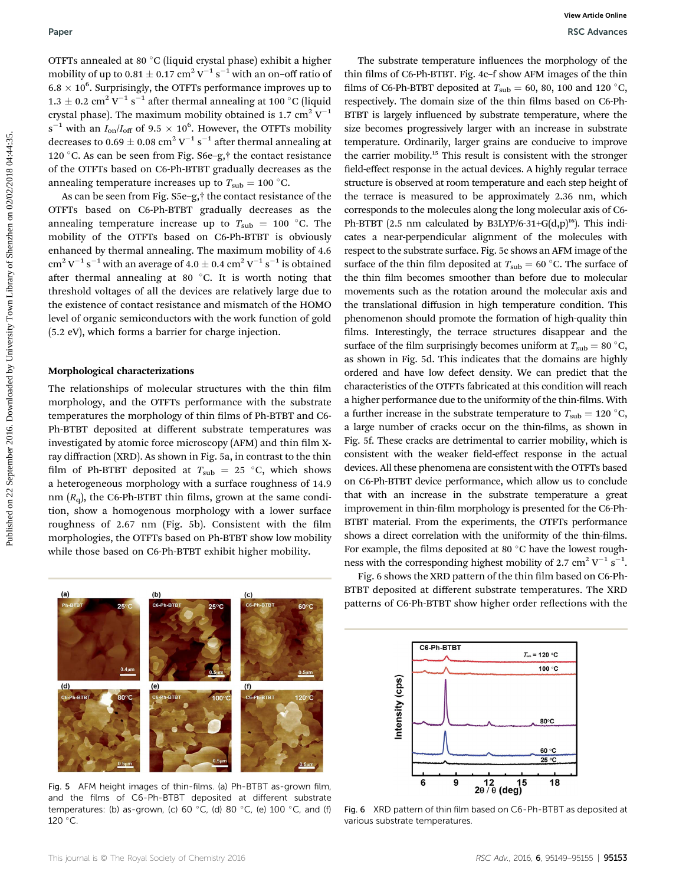OTFTs annealed at 80 °C (liquid crystal phase) exhibit a higher mobility of up to  $0.81 \pm 0.17$   $\text{cm}^2\,\text{V}^{-1}\,\text{s}^{-1}$  with an on–off ratio of  $6.8 \times 10^6$ . Surprisingly, the OTFTs performance improves up to  $1.3\pm0.2~\mathrm{cm^2~V^{-1}~s^{-1}}$  after thermal annealing at 100 °C (liquid crystal phase). The maximum mobility obtained is 1.7 cm<sup>2</sup>  $V^{-1}$  $s^{-1}$  with an  $I_{on}/I_{off}$  of 9.5  $\times$  10<sup>6</sup>. However, the OTFTs mobility decreases to  $0.69 \pm 0.08$   $\text{cm}^2\,\text{V}^{-1}\,\text{s}^{-1}$  after thermal annealing at 120 °C. As can be seen from Fig. S6e-g, $\dagger$  the contact resistance of the OTFTs based on C6-Ph-BTBT gradually decreases as the annealing temperature increases up to  $T_{sub} = 100$  °C.

As can be seen from Fig. S5e–g,† the contact resistance of the OTFTs based on C6-Ph-BTBT gradually decreases as the annealing temperature increase up to  $T_{\text{sub}} = 100$  °C. The mobility of the OTFTs based on C6-Ph-BTBT is obviously enhanced by thermal annealing. The maximum mobility of 4.6  $\text{cm}^2 \, \text{V}^{-1} \, \text{s}^{-1}$  with an average of  $4.0 \pm 0.4$   $\text{cm}^2 \, \text{V}^{-1} \, \text{s}^{-1}$  is obtained after thermal annealing at 80  $\degree$ C. It is worth noting that threshold voltages of all the devices are relatively large due to the existence of contact resistance and mismatch of the HOMO level of organic semiconductors with the work function of gold (5.2 eV), which forms a barrier for charge injection.

#### Morphological characterizations

The relationships of molecular structures with the thin film morphology, and the OTFTs performance with the substrate temperatures the morphology of thin films of Ph-BTBT and C6-Ph-BTBT deposited at different substrate temperatures was investigated by atomic force microscopy (AFM) and thin film Xray diffraction (XRD). As shown in Fig. 5a, in contrast to the thin film of Ph-BTBT deposited at  $T_{sub} = 25$  °C, which shows a heterogeneous morphology with a surface roughness of 14.9 nm  $(R_q)$ , the C6-Ph-BTBT thin films, grown at the same condition, show a homogenous morphology with a lower surface roughness of  $2.67$  nm (Fig. 5b). Consistent with the film morphologies, the OTFTs based on Ph-BTBT show low mobility while those based on C6-Ph-BTBT exhibit higher mobility.

The substrate temperature influences the morphology of the thin films of C6-Ph-BTBT. Fig. 4c-f show AFM images of the thin films of C6-Ph-BTBT deposited at  $T_{sub} = 60$ , 80, 100 and 120 °C, respectively. The domain size of the thin films based on C6-Ph-BTBT is largely influenced by substrate temperature, where the size becomes progressively larger with an increase in substrate temperature. Ordinarily, larger grains are conducive to improve the carrier mobility.<sup>15</sup> This result is consistent with the stronger field-effect response in the actual devices. A highly regular terrace structure is observed at room temperature and each step height of the terrace is measured to be approximately 2.36 nm, which corresponds to the molecules along the long molecular axis of C6- Ph-BTBT (2.5 nm calculated by B3LYP/6-31+G(d,p)<sup>16</sup>). This indicates a near-perpendicular alignment of the molecules with respect to the substrate surface. Fig. 5c shows an AFM image of the surface of the thin film deposited at  $T_{sub} = 60$  °C. The surface of the thin film becomes smoother than before due to molecular movements such as the rotation around the molecular axis and the translational diffusion in high temperature condition. This phenomenon should promote the formation of high-quality thin films. Interestingly, the terrace structures disappear and the surface of the film surprisingly becomes uniform at  $T_{sub} = 80 °C$ , as shown in Fig. 5d. This indicates that the domains are highly ordered and have low defect density. We can predict that the characteristics of the OTFTs fabricated at this condition will reach a higher performance due to the uniformity of the thin-films. With a further increase in the substrate temperature to  $T_{sub} = 120 °C$ , a large number of cracks occur on the thin-films, as shown in Fig. 5f. These cracks are detrimental to carrier mobility, which is consistent with the weaker field-effect response in the actual devices. All these phenomena are consistent with the OTFTs based on C6-Ph-BTBT device performance, which allow us to conclude that with an increase in the substrate temperature a great improvement in thin-film morphology is presented for the C6-Ph-BTBT material. From the experiments, the OTFTs performance shows a direct correlation with the uniformity of the thin-films. For example, the films deposited at 80 $\degree$ C have the lowest roughness with the corresponding highest mobility of 2.7 cm<sup>2</sup> V<sup>-1</sup> s<sup>-1</sup>. **Puber**<br> **One of the contribution** of SEA observations and the contribution in the contribution of SEA observations of the contribution of the contribution of the contribution of the contribution of C (include the contrib



Fig. 5 AFM height images of thin-films. (a) Ph-BTBT as-grown film, and the films of C6-Ph-BTBT deposited at different substrate temperatures: (b) as-grown, (c) 60 °C, (d) 80 °C, (e) 100 °C, and (f)  $120 °C$ .

Fig. 6 shows the XRD pattern of the thin film based on C6-Ph-BTBT deposited at different substrate temperatures. The XRD patterns of C6-Ph-BTBT show higher order reflections with the



Fig. 6 XRD pattern of thin film based on C6-Ph-BTBT as deposited at various substrate temperatures.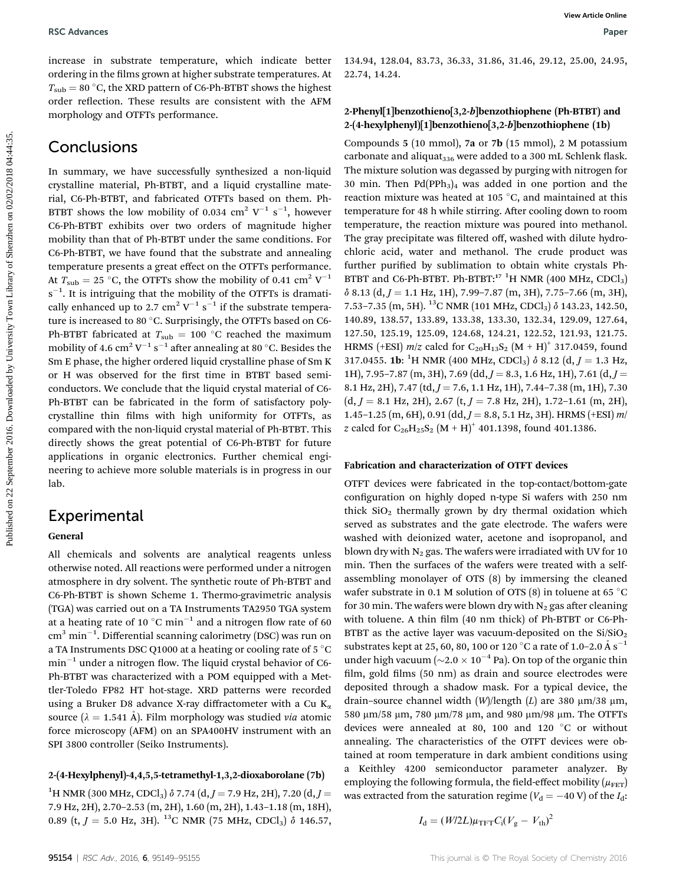increase in substrate temperature, which indicate better ordering in the films grown at higher substrate temperatures. At  $T<sub>sub</sub> = 80 °C$ , the XRD pattern of C6-Ph-BTBT shows the highest order reflection. These results are consistent with the AFM morphology and OTFTs performance.

## **Conclusions**

In summary, we have successfully synthesized a non-liquid crystalline material, Ph-BTBT, and a liquid crystalline material, C6-Ph-BTBT, and fabricated OTFTs based on them. Ph-BTBT shows the low mobility of 0.034  $\text{cm}^2$  V<sup>-1</sup> s<sup>-1</sup>, however C6-Ph-BTBT exhibits over two orders of magnitude higher mobility than that of Ph-BTBT under the same conditions. For C6-Ph-BTBT, we have found that the substrate and annealing temperature presents a great effect on the OTFTs performance. At  $T_{\text{sub}} = 25$  °C, the OTFTs show the mobility of 0.41 cm<sup>2</sup> V<sup>-1</sup>  $s^{-1}$ . It is intriguing that the mobility of the OTFTs is dramatically enhanced up to 2.7 cm<sup>2</sup> V<sup>-1</sup> s<sup>-1</sup> if the substrate temperature is increased to 80 °C. Surprisingly, the OTFTs based on C6-Ph-BTBT fabricated at  $T_{sub} = 100$  °C reached the maximum mobility of 4.6  $\rm cm^2\, V^{-1}\, s^{-1}$  after annealing at 80 °C. Besides the Sm E phase, the higher ordered liquid crystalline phase of Sm K or H was observed for the first time in BTBT based semiconductors. We conclude that the liquid crystal material of C6- Ph-BTBT can be fabricated in the form of satisfactory polycrystalline thin films with high uniformity for OTFTs, as compared with the non-liquid crystal material of Ph-BTBT. This directly shows the great potential of C6-Ph-BTBT for future applications in organic electronics. Further chemical engineering to achieve more soluble materials is in progress in our lab. **PSC** Advances<br>
Processes in collaterate temperature, which indicate hence 124.44, 124.34, 8.3.3, 36.31, 31.86, 31.4, 29.31, 25.0, 34.95,<br>  $T_{\text{total}} = 80^\circ$  C, the XD published and indicate indicate the C and XD published b

## Experimental

#### General

All chemicals and solvents are analytical reagents unless otherwise noted. All reactions were performed under a nitrogen atmosphere in dry solvent. The synthetic route of Ph-BTBT and C6-Ph-BTBT is shown Scheme 1. Thermo-gravimetric analysis (TGA) was carried out on a TA Instruments TA2950 TGA system at a heating rate of 10 °C min<sup>-1</sup> and a nitrogen flow rate of 60  $\rm cm^3$  min $^{-1}$ . Differential scanning calorimetry (DSC) was run on a TA Instruments DSC Q1000 at a heating or cooling rate of 5  $^{\circ}$ C  $min^{-1}$  under a nitrogen flow. The liquid crystal behavior of C6-Ph-BTBT was characterized with a POM equipped with a Mettler-Toledo FP82 HT hot-stage. XRD patterns were recorded using a Bruker D8 advance X-ray diffractometer with a Cu  $K_{\alpha}$ source ( $\lambda = 1.541$  Å). Film morphology was studied *via* atomic force microscopy (AFM) on an SPA400HV instrument with an SPI 3800 controller (Seiko Instruments).

#### 2-(4-Hexylphenyl)-4,4,5,5-tetramethyl-1,3,2-dioxaborolane (7b)

 $^{1}$ H NMR (300 MHz, CDCl<sub>3</sub>)  $\delta$  7.74 (d, J = 7.9 Hz, 2H), 7.20 (d, J = 7.9 Hz, 2H), 2.70–2.53 (m, 2H), 1.60 (m, 2H), 1.43–1.18 (m, 18H), 0.89 (t,  $J = 5.0$  Hz, 3H). <sup>13</sup>C NMR (75 MHz, CDCl<sub>3</sub>)  $\delta$  146.57, 134.94, 128.04, 83.73, 36.33, 31.86, 31.46, 29.12, 25.00, 24.95, 22.74, 14.24.

#### 2-Phenyl[1]benzothieno[3,2-b]benzothiophene (Ph-BTBT) and 2-(4-hexylphenyl)[1]benzothieno[3,2-b]benzothiophene (1b)

Compounds 5 (10 mmol), 7a or 7b (15 mmol), 2 M potassium carbonate and aliquat<sub>336</sub> were added to a 300 mL Schlenk flask. The mixture solution was degassed by purging with nitrogen for 30 min. Then  $Pd(PPh<sub>3</sub>)<sub>4</sub>$  was added in one portion and the reaction mixture was heated at 105 $\degree$ C, and maintained at this temperature for 48 h while stirring. After cooling down to room temperature, the reaction mixture was poured into methanol. The gray precipitate was filtered off, washed with dilute hydrochloric acid, water and methanol. The crude product was further purified by sublimation to obtain white crystals Ph-BTBT and C6-Ph-BTBT. Ph-BTBT:<sup>17</sup> <sup>1</sup>H NMR (400 MHz, CDCl<sub>3</sub>)  $\delta$  8.13 (d, J = 1.1 Hz, 1H), 7.99-7.87 (m, 3H), 7.75-7.66 (m, 3H), 7.53–7.35 (m, 5H). <sup>13</sup>C NMR (101 MHz, CDCl<sub>3</sub>)  $\delta$  143.23, 142.50, 140.89, 138.57, 133.89, 133.38, 133.30, 132.34, 129.09, 127.64, 127.50, 125.19, 125.09, 124.68, 124.21, 122.52, 121.93, 121.75. HRMS (+ESI)  $m/z$  calcd for  $C_{20}H_{13}S_2$  (M + H)<sup>+</sup> 317.0459, found 317.0455. **1b**: <sup>1</sup>H NMR (400 MHz, CDCl<sub>3</sub>)  $\delta$  8.12 (d, *J* = 1.3 Hz, 1H), 7.95–7.87 (m, 3H), 7.69 (dd,  $J = 8.3$ , 1.6 Hz, 1H), 7.61 (d,  $J =$ 8.1 Hz, 2H), 7.47 (td,  $J = 7.6$ , 1.1 Hz, 1H), 7.44–7.38 (m, 1H), 7.30  $(d, J = 8.1 \text{ Hz}, 2\text{H}), 2.67 \text{ (t, } J = 7.8 \text{ Hz}, 2\text{H}), 1.72-1.61 \text{ (m, } 2\text{H}),$ 1.45–1.25 (m, 6H), 0.91 (dd,  $J = 8.8$ , 5.1 Hz, 3H). HRMS (+ESI) m/ z calcd for  $C_{26}H_{25}S_2 (M + H)^+$  401.1398, found 401.1386.

#### Fabrication and characterization of OTFT devices

OTFT devices were fabricated in the top-contact/bottom-gate configuration on highly doped n-type Si wafers with 250 nm thick  $SiO<sub>2</sub>$  thermally grown by dry thermal oxidation which served as substrates and the gate electrode. The wafers were washed with deionized water, acetone and isopropanol, and blown dry with  $N_2$  gas. The wafers were irradiated with UV for 10 min. Then the surfaces of the wafers were treated with a selfassembling monolayer of OTS (8) by immersing the cleaned wafer substrate in 0.1 M solution of OTS (8) in toluene at 65  $^{\circ}$ C for 30 min. The wafers were blown dry with  $N_2$  gas after cleaning with toluene. A thin film (40 nm thick) of Ph-BTBT or C6-Ph-BTBT as the active layer was vacuum-deposited on the  $Si/SiO<sub>2</sub>$ substrates kept at 25, 60, 80, 100 or 120 °C a rate of 1.0–2.0 Å  $\rm s^{-1}$ under high vacuum ( $\sim$ 2.0  $\times$  10<sup>-4</sup> Pa). On top of the organic thin film, gold films (50 nm) as drain and source electrodes were deposited through a shadow mask. For a typical device, the drain-source channel width  $(W)/$ length  $(L)$  are 380  $\mu$ m/38  $\mu$ m, 580 μm/58 μm, 780 μm/78 μm, and 980 μm/98 μm. The OTFTs devices were annealed at 80, 100 and 120  $^{\circ}$ C or without annealing. The characteristics of the OTFT devices were obtained at room temperature in dark ambient conditions using a Keithley 4200 semiconductor parameter analyzer. By employing the following formula, the field-effect mobility ( $\mu$ <sub>FET</sub>) was extracted from the saturation regime ( $V_d = -40 \text{ V}$ ) of the  $I_d$ :

$$
I_{\rm d} = (W/2L)\mu_{\rm TFT}C_{\rm i}(V_{\rm g} - V_{\rm th})^2
$$